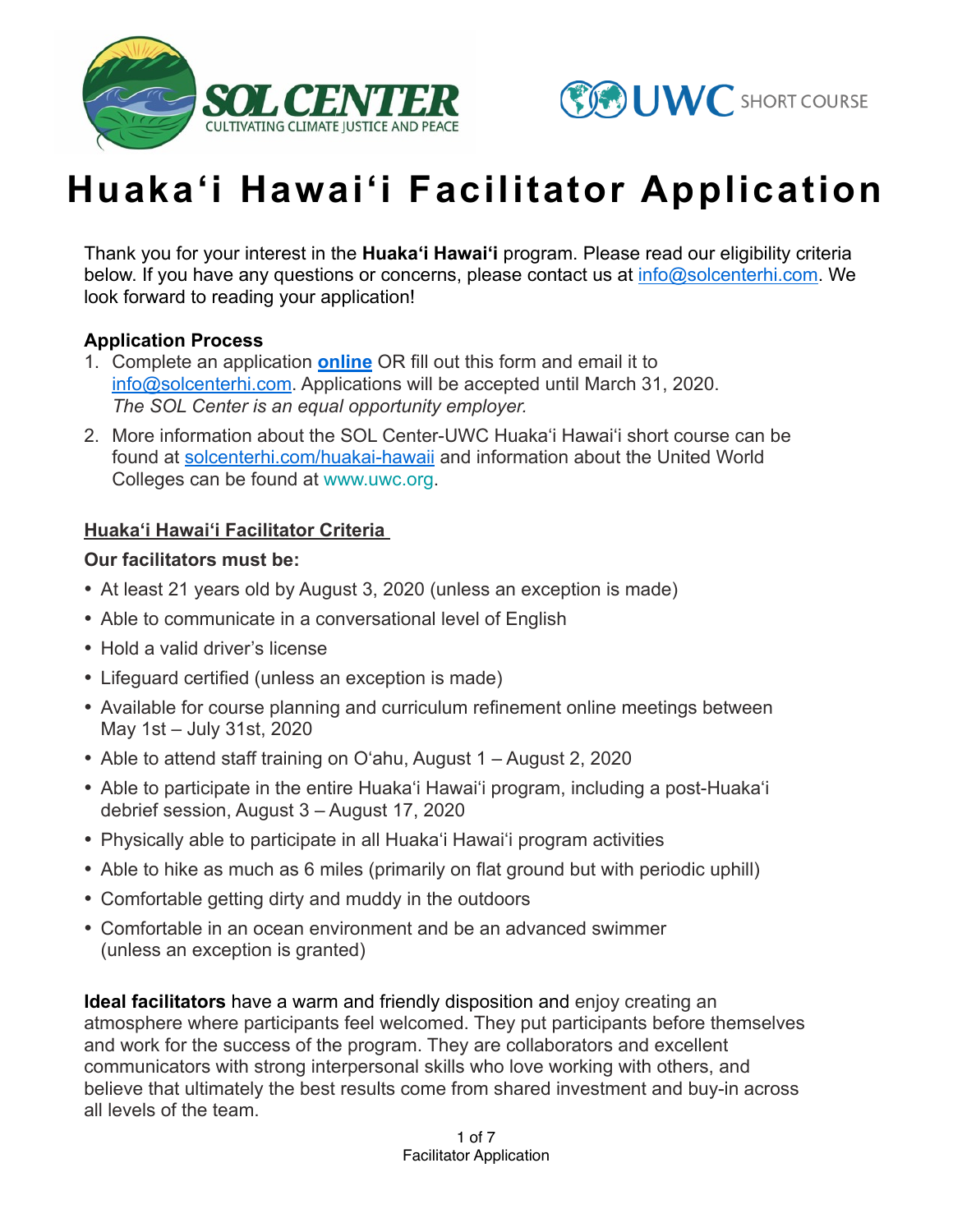



# **Huaka'i Hawai'i Facilitator Application**

Thank you for your interest in the **Huaka'i Hawai'i** program. Please read our eligibility criteria below. If you have any questions or concerns, please contact us at [info@solcenterhi.com.](mailto:info@solcenterhi.com) We look forward to reading your application!

#### **Application Process**

- 1. Complete an application **[online](https://forms.gle/zc2sTmdTjhV7LaL87)** OR fill out this form and email it to [info@solcenterhi.com.](mailto:info@solcenterhi.comA) Applications will be accepted until March 31, 2020. *The SOL Center is an equal opportunity employer.*
- 2. More information about the SOL Center-UWC Huaka'i Hawai'i short course can be found at [solcenterhi.com/huakai-hawaii](http://www.solcenterhi.com/huakai-hawaii) and information about the United World Colleges can be found at [www.uwc.org.](http://www.uwc.org/)

#### **Huaka'i Hawai'i Facilitator Criteria**

#### **Our facilitators must be:**

- At least 21 years old by August 3, 2020 (unless an exception is made)
- Able to communicate in a conversational level of English
- Hold a valid driver's license
- Lifeguard certified (unless an exception is made)
- Available for course planning and curriculum refinement online meetings between May 1st – July 31st, 2020
- Able to attend staff training on O'ahu, August 1 August 2, 2020
- Able to participate in the entire Huaka'i Hawai'i program, including a post-Huaka'i debrief session, August 3 – August 17, 2020
- Physically able to participate in all Huaka'i Hawai'i program activities
- Able to hike as much as 6 miles (primarily on flat ground but with periodic uphill)
- Comfortable getting dirty and muddy in the outdoors
- Comfortable in an ocean environment and be an advanced swimmer (unless an exception is granted)

**Ideal facilitators** have a warm and friendly disposition and enjoy creating an atmosphere where participants feel welcomed. They put participants before themselves and work for the success of the program. They are collaborators and excellent communicators with strong interpersonal skills who love working with others, and believe that ultimately the best results come from shared investment and buy-in across all levels of the team.

> 1 of 7 Facilitator Application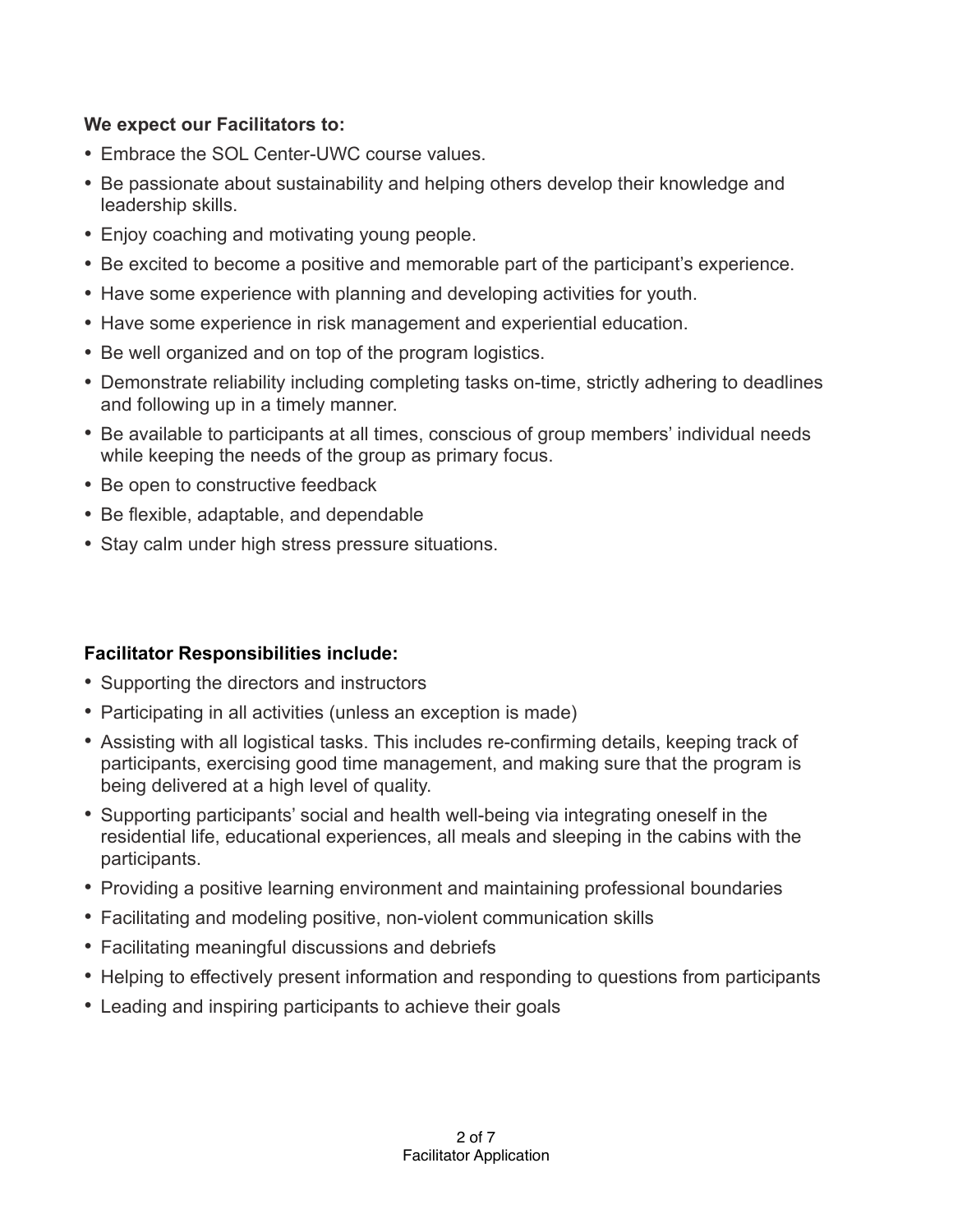# **We expect our Facilitators to:**

- Embrace the SOL Center-UWC course values.
- Be passionate about sustainability and helping others develop their knowledge and leadership skills.
- Enjoy coaching and motivating young people.
- Be excited to become a positive and memorable part of the participant's experience.
- Have some experience with planning and developing activities for youth.
- Have some experience in risk management and experiential education.
- Be well organized and on top of the program logistics.
- Demonstrate reliability including completing tasks on-time, strictly adhering to deadlines and following up in a timely manner.
- Be available to participants at all times, conscious of group members' individual needs while keeping the needs of the group as primary focus.
- Be open to constructive feedback
- Be flexible, adaptable, and dependable
- Stay calm under high stress pressure situations.

# **Facilitator Responsibilities include:**

- Supporting the directors and instructors
- Participating in all activities (unless an exception is made)
- Assisting with all logistical tasks. This includes re-confirming details, keeping track of participants, exercising good time management, and making sure that the program is being delivered at a high level of quality.
- Supporting participants' social and health well-being via integrating oneself in the residential life, educational experiences, all meals and sleeping in the cabins with the participants.
- Providing a positive learning environment and maintaining professional boundaries
- Facilitating and modeling positive, non-violent communication skills
- Facilitating meaningful discussions and debriefs
- Helping to effectively present information and responding to questions from participants
- Leading and inspiring participants to achieve their goals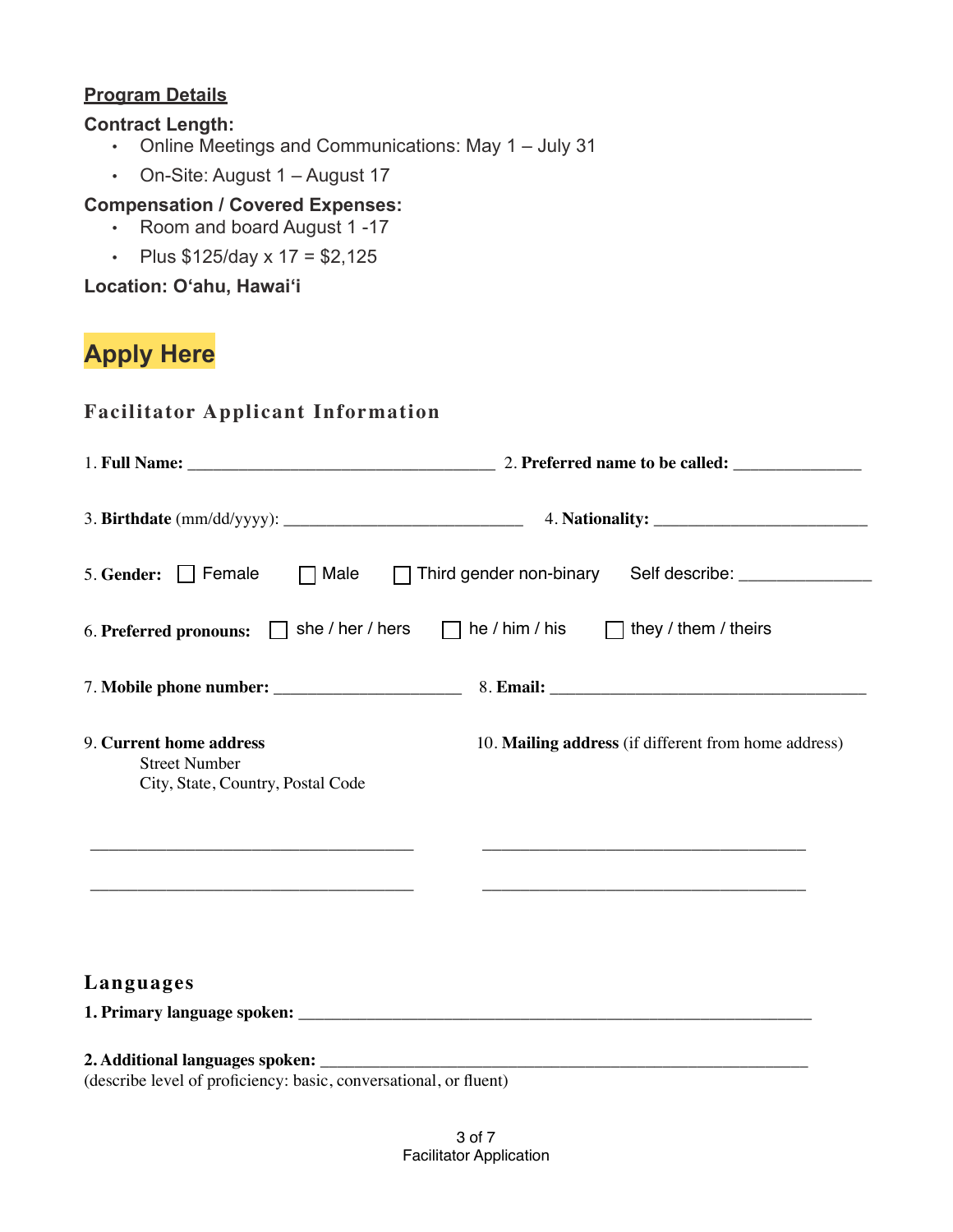### **Program Details**

#### **Contract Length:**

- Online Meetings and Communications: May 1 July 31
- On-Site: August 1 August 17

# **Compensation / Covered Expenses:**

- Room and board August 1 -17
- Plus  $$125/day \times 17 = $2,125$

**Location: O'ahu, Hawai'i**

# **Apply Here**

| □ Male □ Third gender non-binary Self describe: ______________<br>5. Gender: $\Box$ Female<br>6. Preferred pronouns: $\Box$ she / her / hers $\Box$ he / him / his $\Box$ they / them / theirs<br>9. Current home address<br>10. Mailing address (if different from home address)<br><b>Street Number</b><br>City, State, Country, Postal Code<br><u> 1989 - Johann Stein, mars et al. (</u><br><u> 1989 - Johann Harry Harry Harry Harry Harry Harry Harry Harry Harry Harry Harry Harry Harry Harry Harry Harry Harry Harry Harry Harry Harry Harry Harry Harry Harry Harry Harry Harry Harry Harry Harry Harry Harry Harry Ha</u><br>Languages |  |  |
|---------------------------------------------------------------------------------------------------------------------------------------------------------------------------------------------------------------------------------------------------------------------------------------------------------------------------------------------------------------------------------------------------------------------------------------------------------------------------------------------------------------------------------------------------------------------------------------------------------------------------------------------------|--|--|
|                                                                                                                                                                                                                                                                                                                                                                                                                                                                                                                                                                                                                                                   |  |  |
|                                                                                                                                                                                                                                                                                                                                                                                                                                                                                                                                                                                                                                                   |  |  |
|                                                                                                                                                                                                                                                                                                                                                                                                                                                                                                                                                                                                                                                   |  |  |
|                                                                                                                                                                                                                                                                                                                                                                                                                                                                                                                                                                                                                                                   |  |  |
|                                                                                                                                                                                                                                                                                                                                                                                                                                                                                                                                                                                                                                                   |  |  |
|                                                                                                                                                                                                                                                                                                                                                                                                                                                                                                                                                                                                                                                   |  |  |
| (describe level of proficiency: basic, conversational, or fluent)                                                                                                                                                                                                                                                                                                                                                                                                                                                                                                                                                                                 |  |  |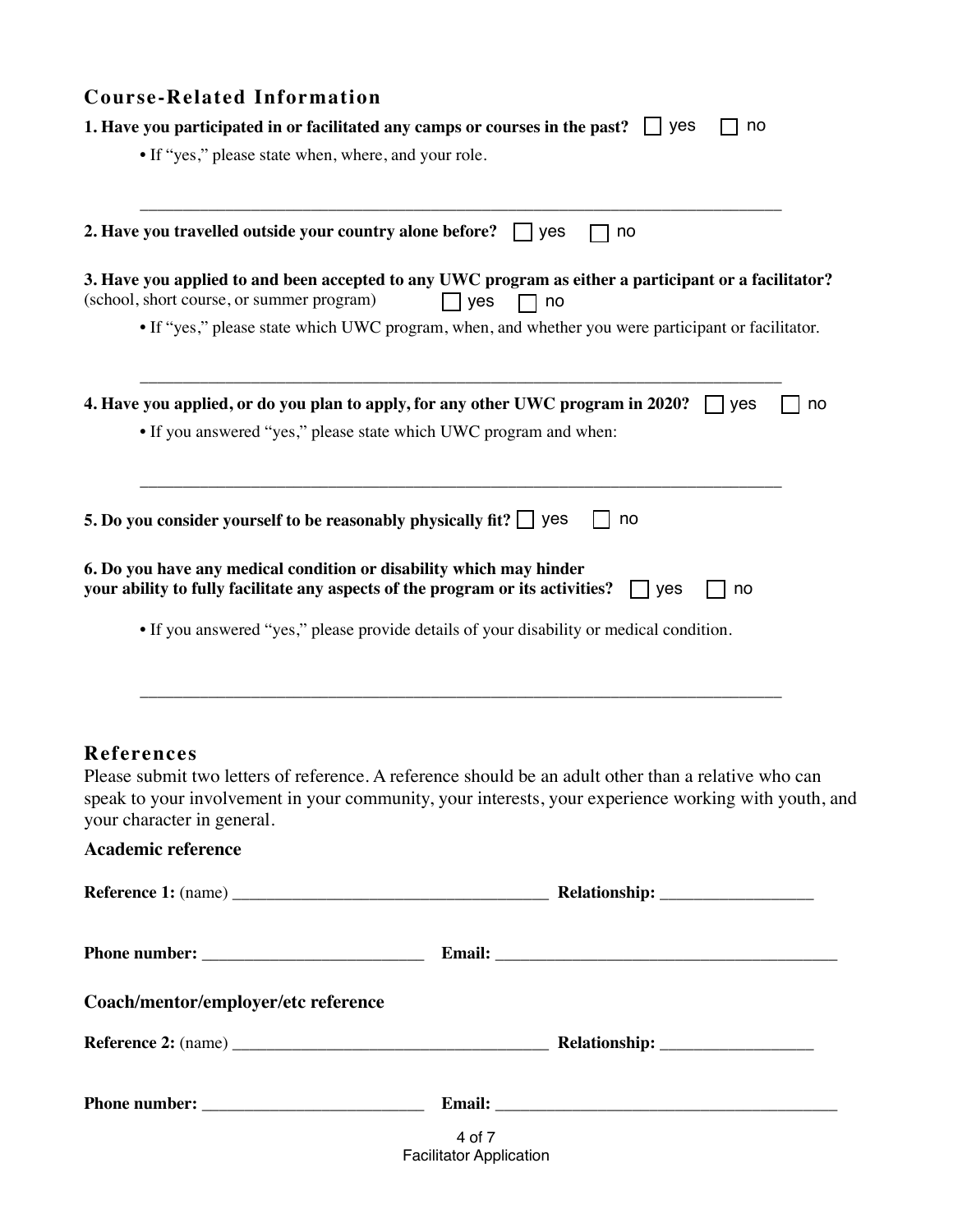| 1. Have you participated in or facilitated any camps or courses in the past?<br>$\vert$   yes<br>no<br>• If "yes," please state when, where, and your role.<br>2. Have you travelled outside your country alone before? $\Box$ yes<br>no<br>3. Have you applied to and been accepted to any UWC program as either a participant or a facilitator?<br>(school, short course, or summer program)<br>yes<br>no<br>• If "yes," please state which UWC program, when, and whether you were participant or facilitator.<br>4. Have you applied, or do you plan to apply, for any other UWC program in 2020?<br>yes<br>no<br>• If you answered "yes," please state which UWC program and when:<br>5. Do you consider yourself to be reasonably physically fit? $\Box$ yes<br>no<br>6. Do you have any medical condition or disability which may hinder<br>your ability to fully facilitate any aspects of the program or its activities?<br>yes<br>no<br>• If you answered "yes," please provide details of your disability or medical condition.<br><b>References</b><br>Please submit two letters of reference. A reference should be an adult other than a relative who can<br>speak to your involvement in your community, your interests, your experience working with youth, and<br>your character in general.<br><b>Academic reference</b><br>Coach/mentor/employer/etc reference | <b>Course-Related Information</b> |
|-----------------------------------------------------------------------------------------------------------------------------------------------------------------------------------------------------------------------------------------------------------------------------------------------------------------------------------------------------------------------------------------------------------------------------------------------------------------------------------------------------------------------------------------------------------------------------------------------------------------------------------------------------------------------------------------------------------------------------------------------------------------------------------------------------------------------------------------------------------------------------------------------------------------------------------------------------------------------------------------------------------------------------------------------------------------------------------------------------------------------------------------------------------------------------------------------------------------------------------------------------------------------------------------------------------------------------------------------------------------------------------|-----------------------------------|
|                                                                                                                                                                                                                                                                                                                                                                                                                                                                                                                                                                                                                                                                                                                                                                                                                                                                                                                                                                                                                                                                                                                                                                                                                                                                                                                                                                                   |                                   |
|                                                                                                                                                                                                                                                                                                                                                                                                                                                                                                                                                                                                                                                                                                                                                                                                                                                                                                                                                                                                                                                                                                                                                                                                                                                                                                                                                                                   |                                   |
|                                                                                                                                                                                                                                                                                                                                                                                                                                                                                                                                                                                                                                                                                                                                                                                                                                                                                                                                                                                                                                                                                                                                                                                                                                                                                                                                                                                   |                                   |
|                                                                                                                                                                                                                                                                                                                                                                                                                                                                                                                                                                                                                                                                                                                                                                                                                                                                                                                                                                                                                                                                                                                                                                                                                                                                                                                                                                                   |                                   |
|                                                                                                                                                                                                                                                                                                                                                                                                                                                                                                                                                                                                                                                                                                                                                                                                                                                                                                                                                                                                                                                                                                                                                                                                                                                                                                                                                                                   |                                   |
|                                                                                                                                                                                                                                                                                                                                                                                                                                                                                                                                                                                                                                                                                                                                                                                                                                                                                                                                                                                                                                                                                                                                                                                                                                                                                                                                                                                   |                                   |
|                                                                                                                                                                                                                                                                                                                                                                                                                                                                                                                                                                                                                                                                                                                                                                                                                                                                                                                                                                                                                                                                                                                                                                                                                                                                                                                                                                                   |                                   |
|                                                                                                                                                                                                                                                                                                                                                                                                                                                                                                                                                                                                                                                                                                                                                                                                                                                                                                                                                                                                                                                                                                                                                                                                                                                                                                                                                                                   |                                   |
|                                                                                                                                                                                                                                                                                                                                                                                                                                                                                                                                                                                                                                                                                                                                                                                                                                                                                                                                                                                                                                                                                                                                                                                                                                                                                                                                                                                   |                                   |
|                                                                                                                                                                                                                                                                                                                                                                                                                                                                                                                                                                                                                                                                                                                                                                                                                                                                                                                                                                                                                                                                                                                                                                                                                                                                                                                                                                                   |                                   |
|                                                                                                                                                                                                                                                                                                                                                                                                                                                                                                                                                                                                                                                                                                                                                                                                                                                                                                                                                                                                                                                                                                                                                                                                                                                                                                                                                                                   |                                   |
|                                                                                                                                                                                                                                                                                                                                                                                                                                                                                                                                                                                                                                                                                                                                                                                                                                                                                                                                                                                                                                                                                                                                                                                                                                                                                                                                                                                   |                                   |
|                                                                                                                                                                                                                                                                                                                                                                                                                                                                                                                                                                                                                                                                                                                                                                                                                                                                                                                                                                                                                                                                                                                                                                                                                                                                                                                                                                                   |                                   |
|                                                                                                                                                                                                                                                                                                                                                                                                                                                                                                                                                                                                                                                                                                                                                                                                                                                                                                                                                                                                                                                                                                                                                                                                                                                                                                                                                                                   |                                   |
|                                                                                                                                                                                                                                                                                                                                                                                                                                                                                                                                                                                                                                                                                                                                                                                                                                                                                                                                                                                                                                                                                                                                                                                                                                                                                                                                                                                   |                                   |

| <b>Phone</b><br>ne number:<br>-- |  |
|----------------------------------|--|
|                                  |  |

4 of 7 Facilitator Application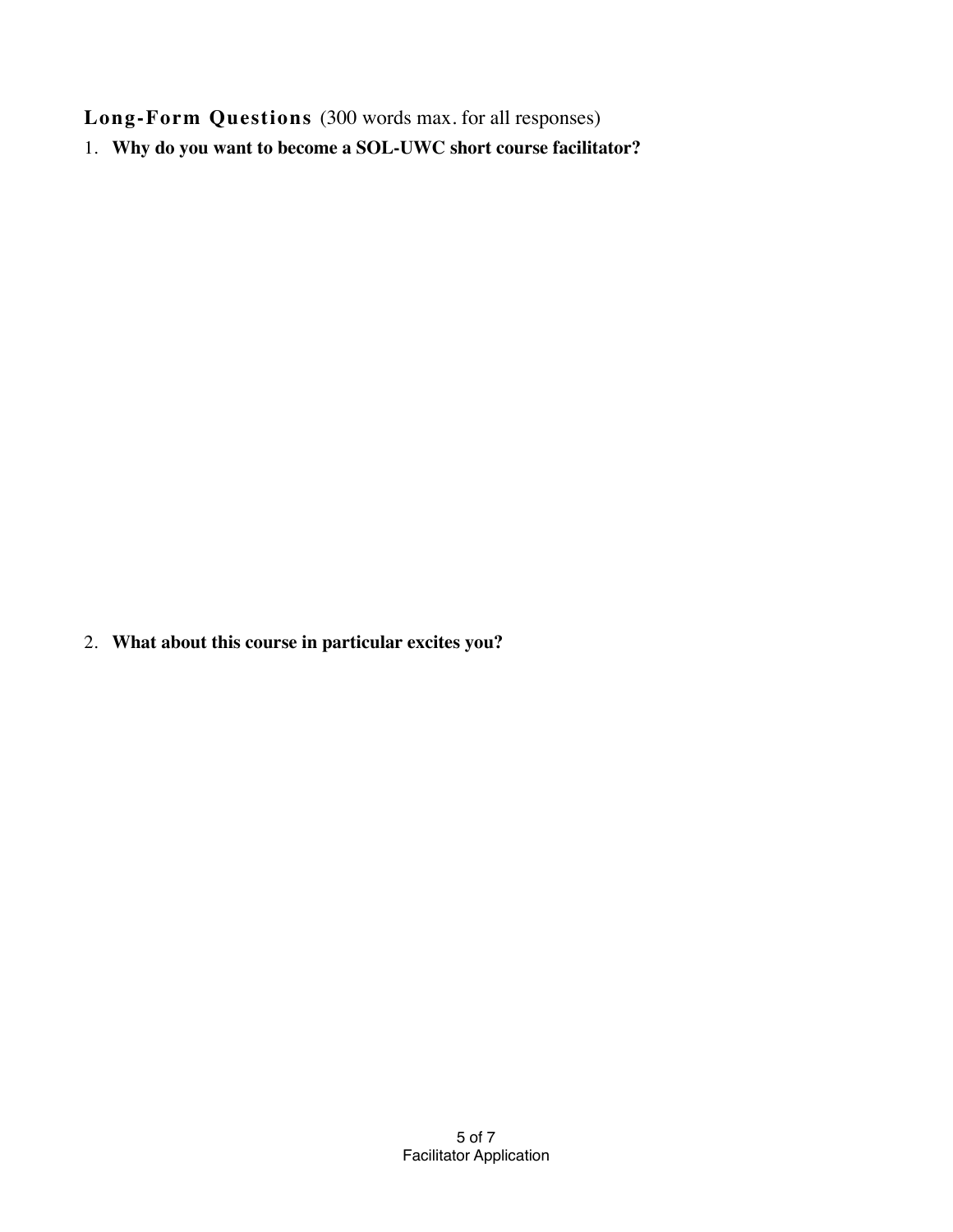**Long-Form Questions** (300 words max. for all responses)

1. **Why do you want to become a SOL-UWC short course facilitator?**

2. **What about this course in particular excites you?**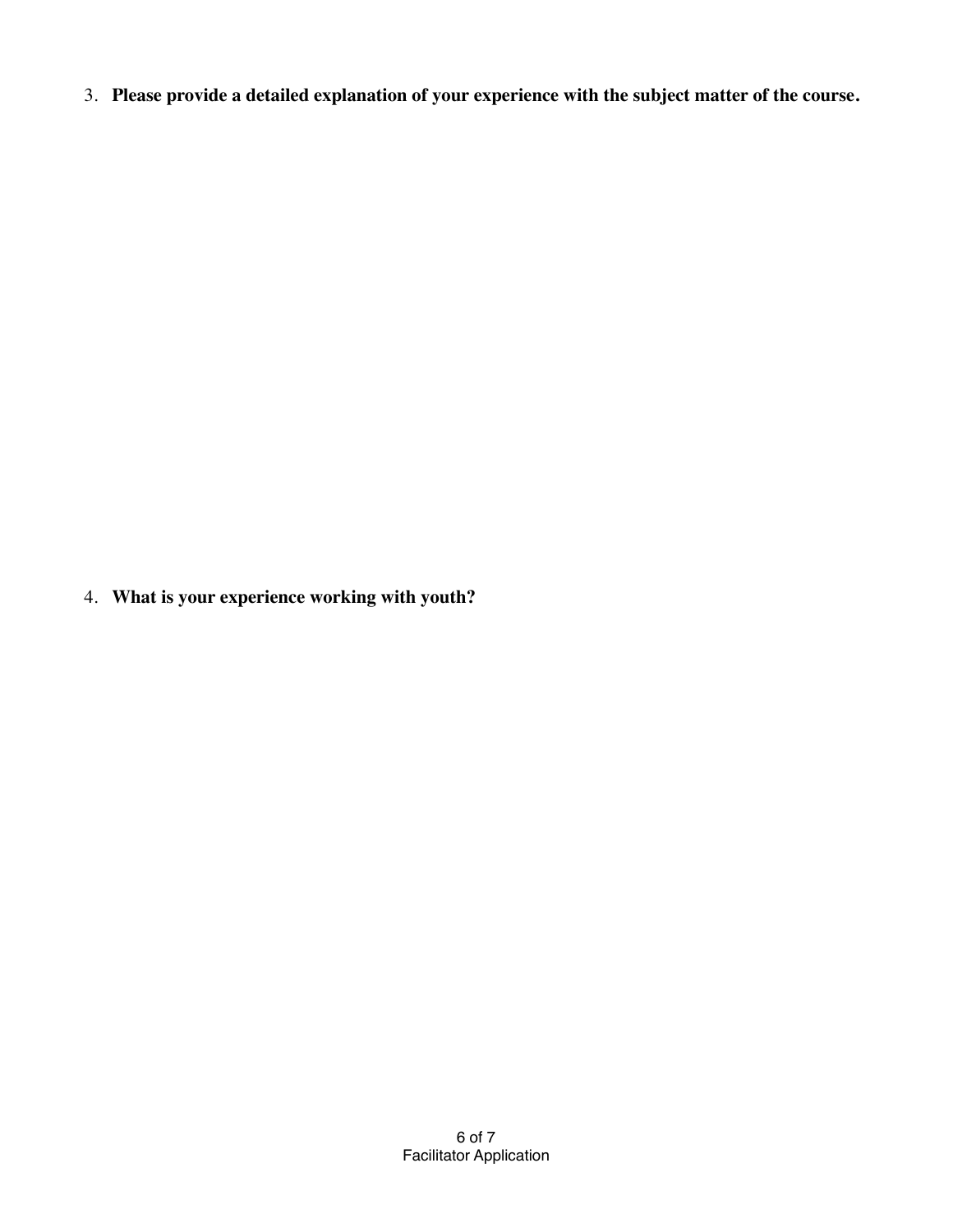3. **Please provide a detailed explanation of your experience with the subject matter of the course.**

4. **What is your experience working with youth?**